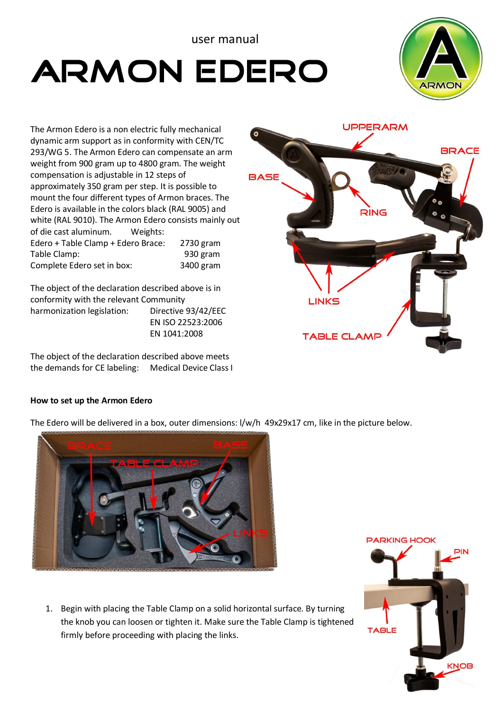## user manual

# **ARMON EDERO**



The Armon Edero is a non electric fully mechanical dynamic arm support as in conformity with CEN/TC 293/WG 5. The Armon Edero can compensate an arm weight from 900 gram up to 4800 gram. The weight compensation is adjustable in 12 steps of approximately 350 gram per step. It is possible to mount the four different types of Armon braces. The Edero is available in the colors black (RAL 9005) and white (RAL 9010). The Armon Edero consists mainly out of die cast aluminum. Weights: Edero + Table Clamp + Edero Brace: 2730 gram Table Clamp: Complete Edero set in box: 3400 gram

The object of the declaration described above is in conformity with the relevant Community harmonization legislation: Directive 93/42/EEC EN ISO 22523:2006 EN 1041:2008

The object of the declaration described above meets the demands for CE labeling: Medical Device Class I

## **How to set up the Armon Edero**

The Edero will be delivered in a box, outer dimensions: l/w/h 49x29x17 cm, like in the picture below.



1. Begin with placing the Table Clamp on a solid horizontal surface. By turning the knob you can loosen or tighten it. Make sure the Table Clamp is tightened firmly before proceeding with placing the links.



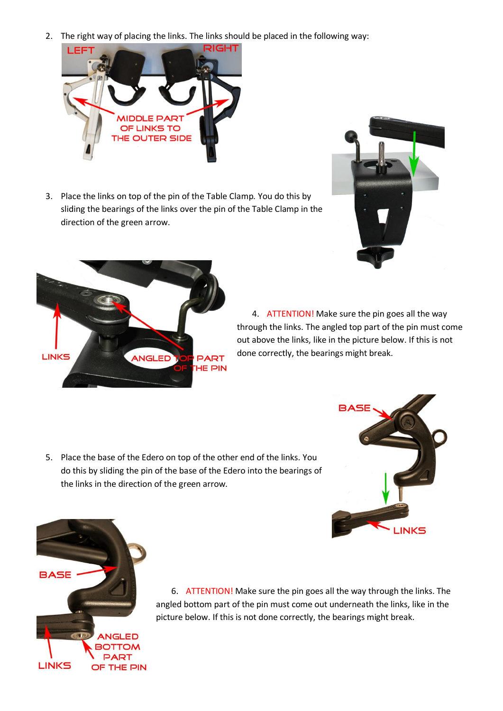2. The right way of placing the links. The links should be placed in the following way:



3. Place the links on top of the pin of the Table Clamp. You do this by sliding the bearings of the links over the pin of the Table Clamp in the direction of the green arrow.





4. ATTENTION! Make sure the pin goes all the way through the links. The angled top part of the pin must come out above the links, like in the picture below. If this is not done correctly, the bearings might break.

5. Place the base of the Edero on top of the other end of the links. You do this by sliding the pin of the base of the Edero into the bearings of the links in the direction of the green arrow.





6. ATTENTION! Make sure the pin goes all the way through the links. The angled bottom part of the pin must come out underneath the links, like in the picture below. If this is not done correctly, the bearings might break.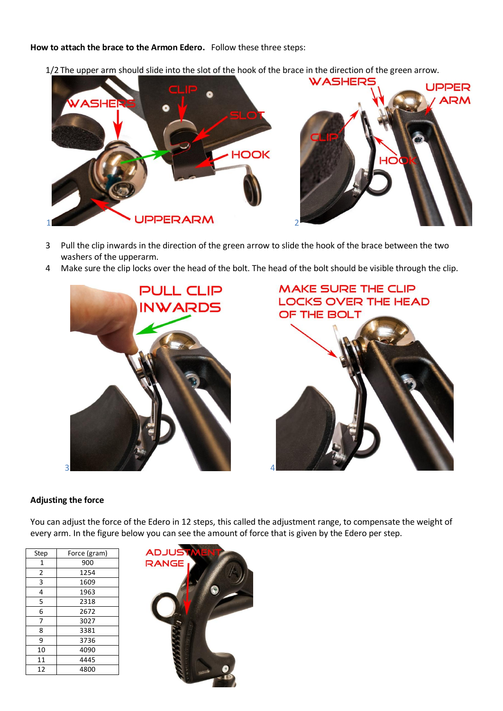#### **How to attach the brace to the Armon Edero.** Follow these three steps:

1/2 The upper arm should slide into the slot of the hook of the brace in the direction of the green arrow.



- Pull the clip inwards in the direction of the green arrow to slide the hook of the brace between the two washers of the upperarm.
- Make sure the clip locks over the head of the bolt. The head of the bolt should be visible through the clip.





## **Adjusting the force**

You can adjust the force of the Edero in 12 steps, this called the adjustment range, to compensate the weight of every arm. In the figure below you can see the amount of force that is given by the Edero per step.

| Step | Force (gram) |
|------|--------------|
| 1    | 900          |
| 2    | 1254         |
| 3    | 1609         |
| 4    | 1963         |
| 5    | 2318         |
| 6    | 2672         |
| 7    | 3027         |
| 8    | 3381         |
| 9    | 3736         |
| 10   | 4090         |
| 11   | 4445         |
| 12   | 4800         |

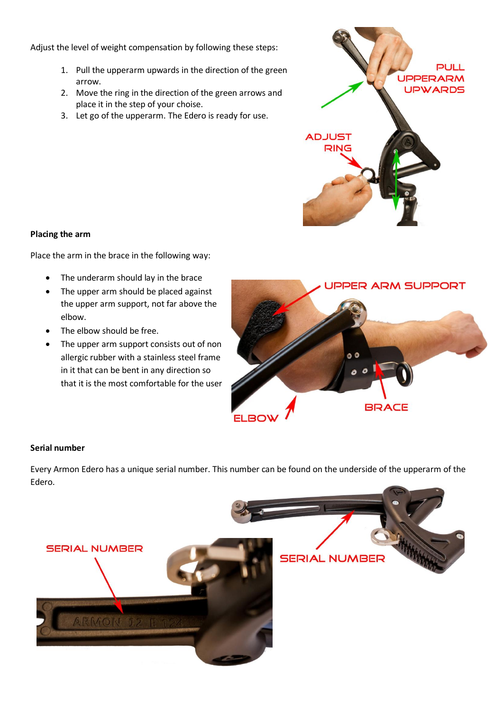Adjust the level of weight compensation by following these steps:

- 1. Pull the upperarm upwards in the direction of the green arrow.
- 2. Move the ring in the direction of the green arrows and place it in the step of your choise.
- 3. Let go of the upperarm. The Edero is ready for use.



## **Placing the arm**

Place the arm in the brace in the following way:

- The underarm should lay in the brace
- The upper arm should be placed against the upper arm support, not far above the elbow.
- The elbow should be free.
- The upper arm support consists out of non allergic rubber with a stainless steel frame in it that can be bent in any direction so that it is the most comfortable for the user



## **Serial number**

Every Armon Edero has a unique serial number. This number can be found on the underside of the upperarm of the Edero.